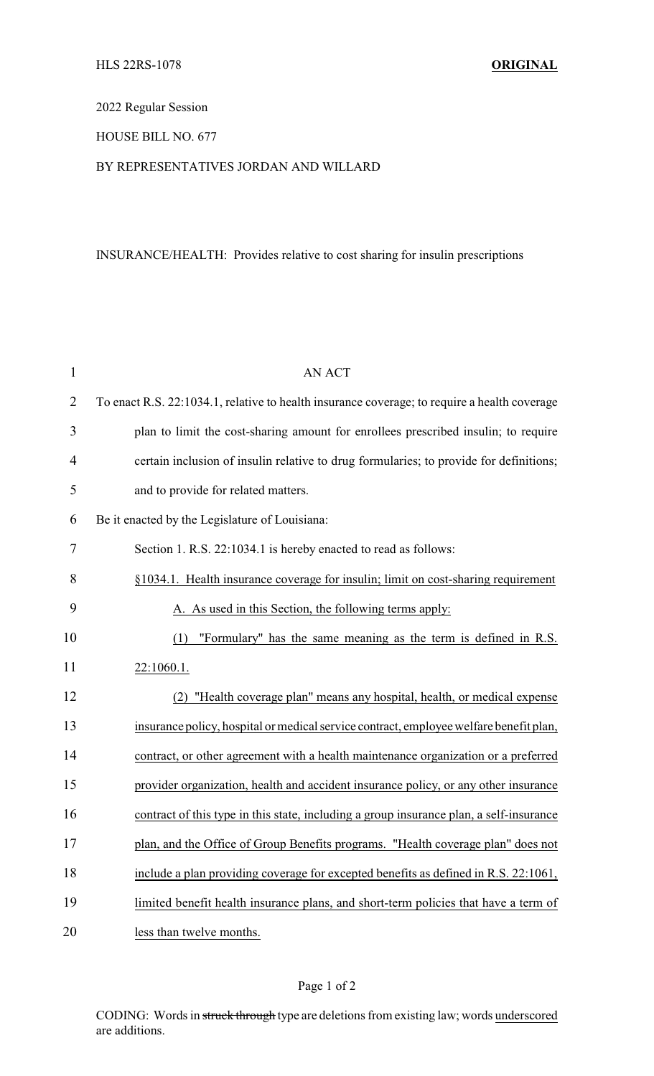# 2022 Regular Session

## HOUSE BILL NO. 677

#### BY REPRESENTATIVES JORDAN AND WILLARD

# INSURANCE/HEALTH: Provides relative to cost sharing for insulin prescriptions

| $\mathbf{1}$   | <b>AN ACT</b>                                                                                |
|----------------|----------------------------------------------------------------------------------------------|
| $\overline{2}$ | To enact R.S. 22:1034.1, relative to health insurance coverage; to require a health coverage |
| 3              | plan to limit the cost-sharing amount for enrollees prescribed insulin; to require           |
| 4              | certain inclusion of insulin relative to drug formularies; to provide for definitions;       |
| 5              | and to provide for related matters.                                                          |
| 6              | Be it enacted by the Legislature of Louisiana:                                               |
| 7              | Section 1. R.S. 22:1034.1 is hereby enacted to read as follows:                              |
| 8              | §1034.1. Health insurance coverage for insulin; limit on cost-sharing requirement            |
| 9              | A. As used in this Section, the following terms apply:                                       |
| 10             | "Formulary" has the same meaning as the term is defined in R.S.<br>(1)                       |
| 11             | 22:1060.1.                                                                                   |
| 12             | "Health coverage plan" means any hospital, health, or medical expense<br>(2)                 |
| 13             | insurance policy, hospital or medical service contract, employee welfare benefit plan,       |
| 14             | contract, or other agreement with a health maintenance organization or a preferred           |
| 15             | provider organization, health and accident insurance policy, or any other insurance          |
| 16             | contract of this type in this state, including a group insurance plan, a self-insurance      |
| 17             | plan, and the Office of Group Benefits programs. "Health coverage plan" does not             |
| 18             | include a plan providing coverage for excepted benefits as defined in R.S. 22:1061,          |
| 19             | limited benefit health insurance plans, and short-term policies that have a term of          |
| 20             | less than twelve months.                                                                     |